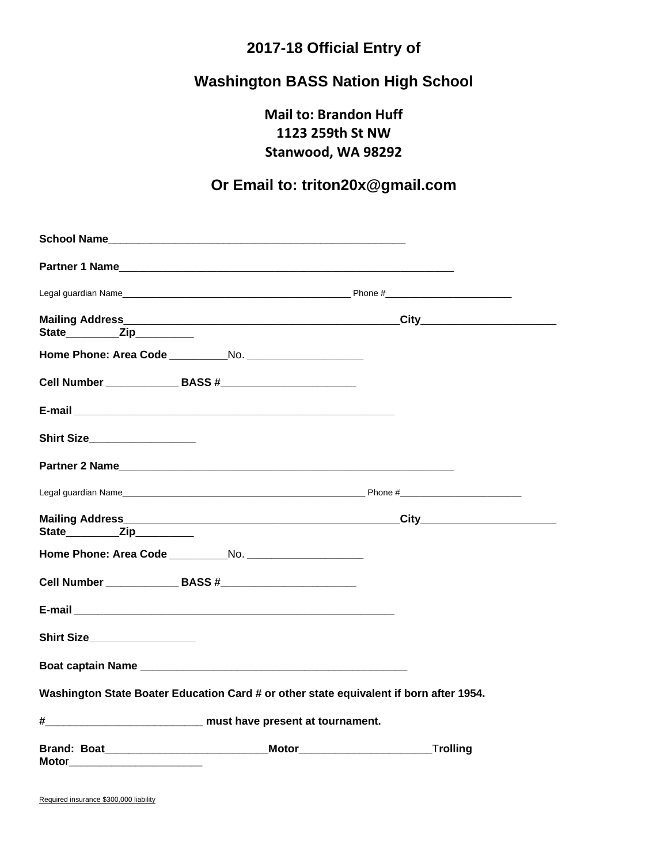## **2017-18 Official Entry of**

# **Washington BASS Nation High School**

**Mail to: Brandon Huff 1123 259th St NW Stanwood, WA 98292**

## **Or Email to: triton20x@gmail.com**

| State____________Zip___________                                                        |  |
|----------------------------------------------------------------------------------------|--|
|                                                                                        |  |
| Cell Number ________________ BASS #_________________________                           |  |
|                                                                                        |  |
| Shirt Size___________________                                                          |  |
|                                                                                        |  |
|                                                                                        |  |
|                                                                                        |  |
| Home Phone: Area Code No.                                                              |  |
| Cell Number ________________ BASS #________________________                            |  |
|                                                                                        |  |
| Shirt Size___________________                                                          |  |
|                                                                                        |  |
| Washington State Boater Education Card # or other state equivalent if born after 1954. |  |
| # must have present at tournament.                                                     |  |
| Brand: Boat Trolling Motor Motor Motor Trolling                                        |  |

Required insurance \$300,000 liability